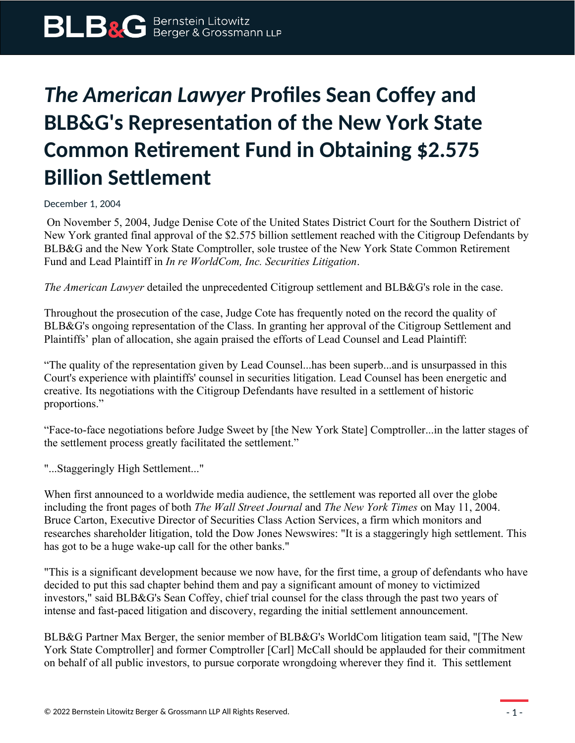## *The American Lawyer* **Profiles Sean Coffey and BLB&G's Representation of the New York State Common Retirement Fund in Obtaining \$2.575 Billion Settlement**

December 1, 2004

 On November 5, 2004, Judge Denise Cote of the United States District Court for the Southern District of New York granted final approval of the \$2.575 billion settlement reached with the Citigroup Defendants by BLB&G and the New York State Comptroller, sole trustee of the New York State Common Retirement Fund and Lead Plaintiff in *In re WorldCom, Inc. Securities Litigation*.

*The American Lawyer* detailed the unprecedented Citigroup settlement and BLB&G's role in the case.

Throughout the prosecution of the case, Judge Cote has frequently noted on the record the quality of BLB&G's ongoing representation of the Class. In granting her approval of the Citigroup Settlement and Plaintiffs' plan of allocation, she again praised the efforts of Lead Counsel and Lead Plaintiff:

"The quality of the representation given by Lead Counsel...has been superb...and is unsurpassed in this Court's experience with plaintiffs' counsel in securities litigation. Lead Counsel has been energetic and creative. Its negotiations with the Citigroup Defendants have resulted in a settlement of historic proportions."

"Face-to-face negotiations before Judge Sweet by [the New York State] Comptroller...in the latter stages of the settlement process greatly facilitated the settlement."

"...Staggeringly High Settlement..."

When first announced to a worldwide media audience, the settlement was reported all over the globe including the front pages of both *The Wall Street Journal* and *The New York Times* on May 11, 2004. Bruce Carton, Executive Director of Securities Class Action Services, a firm which monitors and researches shareholder litigation, told the Dow Jones Newswires: "It is a staggeringly high settlement. This has got to be a huge wake-up call for the other banks."

"This is a significant development because we now have, for the first time, a group of defendants who have decided to put this sad chapter behind them and pay a significant amount of money to victimized investors," said BLB&G's Sean Coffey, chief trial counsel for the class through the past two years of intense and fast-paced litigation and discovery, regarding the initial settlement announcement.

BLB&G Partner Max Berger, the senior member of BLB&G's WorldCom litigation team said, "[The New York State Comptroller] and former Comptroller [Carl] McCall should be applauded for their commitment on behalf of all public investors, to pursue corporate wrongdoing wherever they find it. This settlement